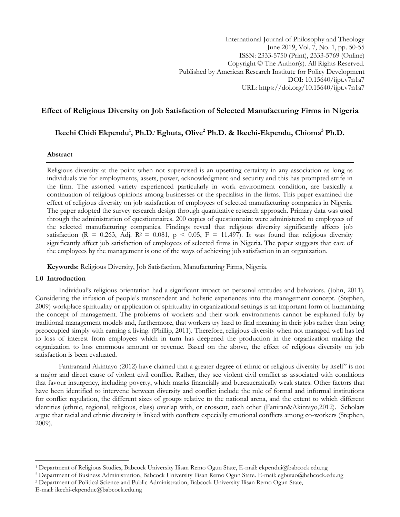# **Effect of Religious Diversity on Job Satisfaction of Selected Manufacturing Firms in Nigeria**

# **Ikechi Chidi Ekpendu<sup>1</sup> , Ph.D. , Egbuta, Olive<sup>2</sup> Ph.D. & Ikechi-Ekpendu, Chioma<sup>3</sup> Ph.D.**

### **Abstract**

Religious diversity at the point when not supervised is an upsetting certainty in any association as long as individuals vie for employments, assets, power, acknowledgment and security and this has prompted strife in the firm. The assorted variety experienced particularly in work environment condition, are basically a continuation of religious opinions among businesses or the specialists in the firms. This paper examined the effect of religious diversity on job satisfaction of employees of selected manufacturing companies in Nigeria. The paper adopted the survey research design through quantitative research approach. Primary data was used through the administration of questionnaires. 200 copies of questionnaire were administered to employees of the selected manufacturing companies. Findings reveal that religious diversity significantly affects job satisfaction (R = 0.263, Adj. R<sup>2</sup> = 0.081, p < 0.05, F = 11.497). It was found that religious diversity significantly affect job satisfaction of employees of selected firms in Nigeria. The paper suggests that care of the employees by the management is one of the ways of achieving job satisfaction in an organization.

**Keywords:** Religious Diversity, Job Satisfaction, Manufacturing Firms, Nigeria.

### **1.0 Introduction**

Individual's religious orientation had a significant impact on personal attitudes and behaviors. (John, 2011). Considering the infusion of people's transcendent and holistic experiences into the management concept. (Stephen, 2009) workplace spirituality or application of spirituality in organizational settings is an important form of humanizing the concept of management. The problems of workers and their work environments cannot be explained fully by traditional management models and, furthermore, that workers try hard to find meaning in their jobs rather than being preoccupied simply with earning a living. (Phillip, 2011). Therefore, religious diversity when not managed well has led to loss of interest from employees which in turn has deepened the production in the organization making the organization to loss enormous amount or revenue. Based on the above, the effect of religious diversity on job satisfaction is been evaluated.

Faniranand Akintayo (2012) have claimed that a greater degree of ethnic or religious diversity by itself" is not a major and direct cause of violent civil conflict. Rather, they see violent civil conflict as associated with conditions that favour insurgency, including poverty, which marks financially and bureaucratically weak states. Other factors that have been identified to intervene between diversity and conflict include the role of formal and informal institutions for conflict regulation, the different sizes of groups relative to the national arena, and the extent to which different identities (ethnic, regional, religious, class) overlap with, or crosscut, each other (Faniran&Akintayo,2012). Scholars argue that racial and ethnic diversity is linked with conflicts especially emotional conflicts among co-workers (Stephen, 2009).

 $\overline{a}$ 

<sup>1</sup> Department of Religious Studies, Babcock University Ilisan Remo Ogun State, E-mail: ekpendui@babcock.edu.ng

<sup>2</sup> Department of Business Administration, Babcock University Ilisan Remo Ogun State. E-mail: egbutao@babcock.edu.ng

<sup>3</sup> Department of Political Science and Public Administration, Babcock University Ilisan Remo Ogun State,

E-mail: ikechi-ekpenduc@babcock.edu.ng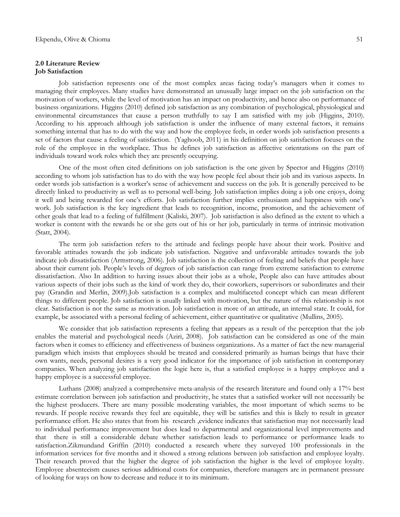### **2.0 Literature Review Job Satisfaction**

Job satisfaction represents one of the most complex areas facing today's managers when it comes to managing their employees. Many studies have demonstrated an unusually large impact on the job satisfaction on the motivation of workers, while the level of motivation has an impact on productivity, and hence also on performance of business organizations. Higgins (2010) defined job satisfaction as any combination of psychological, physiological and environmental circumstances that cause a person truthfully to say I am satisfied with my job (Higgins, 2010). According to his approach although job satisfaction is under the influence of many external factors, it remains something internal that has to do with the way and how the employee feels, in order words job satisfaction presents a set of factors that cause a feeling of satisfaction. (Yaghoob, 2011) in his definition on job satisfaction focuses on the role of the employee in the workplace. Thus he defines job satisfaction as affective orientations on the part of individuals toward work roles which they are presently occupying.

One of the most often cited definitions on job satisfaction is the one given by Spector and Higgins (2010) according to whom job satisfaction has to do with the way how people feel about their job and its various aspects. In order words job satisfaction is a worker's sense of achievement and success on the job. It is generally perceived to be directly linked to productivity as well as to personal well-being. Job satisfaction implies doing a job one enjoys, doing it well and being rewarded for one's efforts. Job satisfaction further implies enthusiasm and happiness with one's work. Job satisfaction is the key ingredient that leads to recognition, income, promotion, and the achievement of other goals that lead to a feeling of fulfillment (Kaliski, 2007). Job satisfaction is also defined as the extent to which a worker is content with the rewards he or she gets out of his or her job, particularly in terms of intrinsic motivation (Statt, 2004).

The term job satisfaction refers to the attitude and feelings people have about their work. Positive and favorable attitudes towards the job indicate job satisfaction. Negative and unfavorable attitudes towards the job indicate job dissatisfaction (Armstrong, 2006). Job satisfaction is the collection of feeling and beliefs that people have about their current job. People's levels of degrees of job satisfaction can range from extreme satisfaction to extreme dissatisfaction. Also In addition to having issues about their jobs as a whole, People also can have attitudes about various aspects of their jobs such as the kind of work they do, their coworkers, supervisors or subordinates and their pay (Grandin and Merlin, 2009).Job satisfaction is a complex and multifaceted concept which can mean different things to different people. Job satisfaction is usually linked with motivation, but the nature of this relationship is not clear. Satisfaction is not the same as motivation. Job satisfaction is more of an attitude, an internal state. It could, for example, be associated with a personal feeling of achievement, either quantitative or qualitative (Mullins, 2005).

We consider that job satisfaction represents a feeling that appears as a result of the perception that the job enables the material and psychological needs (Aziri, 2008). Job satisfaction can be considered as one of the main factors when it comes to efficiency and effectiveness of business organizations. As a matter of fact the new managerial paradigm which insists that employees should be treated and considered primarily as human beings that have their own wants, needs, personal desires is a very good indicator for the importance of job satisfaction in contemporary companies. When analyzing job satisfaction the logic here is, that a satisfied employee is a happy employee and a happy employee is a successful employee.

Luthans (2008) analyzed a comprehensive meta-analysis of the research literature and found only a 17% best estimate correlation between job satisfaction and productivity, he states that a satisfied worker will not necessarily be the highest producers. There are many possible moderating variables, the most important of which seems to be rewards. If people receive rewards they feel are equitable, they will be satisfies and this is likely to result in greater performance effort. He also states that from his research ,evidence indicates that satisfaction may not necessarily lead to individual performance improvement but does lead to departmental and organizational level improvements and that there is still a considerable debate whether satisfaction leads to performance or performance leads to satisfaction.Zikmundand Griffin (2010) conducted a research where they surveyed 100 professionals in the information services for five months and it showed a strong relations between job satisfaction and employee loyalty. Their research proved that the higher the degree of job satisfaction the higher is the level of employee loyalty. Employee absenteeism causes serious additional costs for companies, therefore managers are in permanent pressure of looking for ways on how to decrease and reduce it to its minimum.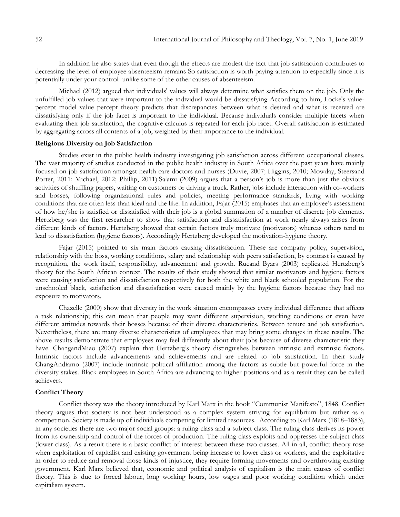In addition he also states that even though the effects are modest the fact that job satisfaction contributes to decreasing the level of employee absenteeism remains So satisfaction is worth paying attention to especially since it is potentially under your control unlike some of the other causes of absenteeism.

Michael (2012) argued that individuals' values will always determine what satisfies them on the job. Only the unfulfilled job values that were important to the individual would be dissatisfying According to him, Locke's valuepercept model value percept theory predicts that discrepancies between what is desired and what is received are dissatisfying only if the job facet is important to the individual. Because individuals consider multiple facets when evaluating their job satisfaction, the cognitive calculus is repeated for each job facet. Overall satisfaction is estimated by aggregating across all contents of a job, weighted by their importance to the individual.

# **Religious Diversity on Job Satisfaction**

Studies exist in the public health industry investigating job satisfaction across different occupational classes. The vast majority of studies conducted in the public health industry in South Africa over the past years have mainly focused on job satisfaction amongst health care doctors and nurses (Duvie, 2007; Higgins, 2010; Mowday, Steersand Porter, 2011; Michael, 2012; Phillip, 2011).Salami (2009) argues that a person's job is more than just the obvious activities of shuffling papers, waiting on customers or driving a truck. Rather, jobs include interaction with co-workers and bosses, following organizational rules and policies, meeting performance standards, living with working conditions that are often less than ideal and the like. In addition, Fajar (2015) emphases that an employee's assessment of how he/she is satisfied or dissatisfied with their job is a global summation of a number of discrete job elements. Hertzberg was the first researcher to show that satisfaction and dissatisfaction at work nearly always arises from different kinds of factors. Hertzberg showed that certain factors truly motivate (motivators) whereas others tend to lead to dissatisfaction (hygiene factors). Accordingly Hertzberg developed the motivation-hygiene theory.

Fajar (2015) pointed to six main factors causing dissatisfaction. These are company policy, supervision, relationship with the boss, working conditions, salary and relationship with peers satisfaction, by contrast is caused by recognition, the work itself, responsibility, advancement and growth. Rueand Byars (2003) replicated Hertzberg's theory for the South African context. The results of their study showed that similar motivators and hygiene factors were causing satisfaction and dissatisfaction respectively for both the white and black schooled population. For the unschooled black, satisfaction and dissatisfaction were caused mainly by the hygiene factors because they had no exposure to motivators.

Chazelle (2000) show that diversity in the work situation encompasses every individual difference that affects a task relationship; this can mean that people may want different supervision, working conditions or even have different attitudes towards their bosses because of their diverse characteristics. Between tenure and job satisfaction. Nevertheless, there are many diverse characteristics of employees that may bring some changes in these results. The above results demonstrate that employees may feel differently about their jobs because of diverse characteristic they have. ChangandMiao (2007) explain that Hertzberg's theory distinguishes between intrinsic and extrinsic factors. Intrinsic factors include advancements and achievements and are related to job satisfaction. In their study ChangAndiamo (2007) include intrinsic political affiliation among the factors as subtle but powerful force in the diversity stakes. Black employees in South Africa are advancing to higher positions and as a result they can be called achievers.

#### **Conflict Theory**

Conflict theory was the theory introduced by Karl Marx in the book "Communist Manifesto", 1848. Conflict theory argues that society is not best understood as a complex system striving for equilibrium but rather as a competition. Society is made up of individuals competing for limited resources. According to Karl Marx (1818–1883), in any societies there are two major social groups: a ruling class and a subject class. The ruling class derives its power from its ownership and control of the forces of production. The ruling class exploits and oppresses the subject class (lower class). As a result there is a basic conflict of interest between these two classes. All in all, conflict theory rose when exploitation of capitalist and existing government being increase to lower class or workers, and the exploitative in order to reduce and removal those kinds of injustice, they require forming movements and overthrowing existing government. Karl Marx believed that, economic and political analysis of capitalism is the main causes of conflict theory. This is due to forced labour, long working hours, low wages and poor working condition which under capitalism system.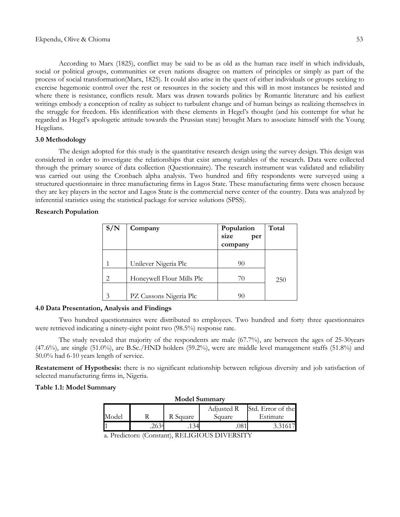According to Marx (1825), conflict may be said to be as old as the human race itself in which individuals, social or political groups, communities or even nations disagree on matters of principles or simply as part of the process of social transformation(Marx, 1825). It could also arise in the quest of either individuals or groups seeking to exercise hegemonic control over the rest or resources in the society and this will in most instances be resisted and where there is resistance, conflicts result. Marx was drawn towards politics by Romantic literature and his earliest writings embody a conception of reality as subject to turbulent change and of human beings as realizing themselves in the struggle for freedom. His identification with these elements in Hegel's thought (and his contempt for what he regarded as Hegel's apologetic attitude towards the Prussian state) brought Marx to associate himself with the Young Hegelians.

# **3.0 Methodology**

The design adopted for this study is the quantitative research design using the survey design. This design was considered in order to investigate the relationships that exist among variables of the research. Data were collected through the primary source of data collection (Questionnaire). The research instrument was validated and reliability was carried out using the Cronbach alpha analysis. Two hundred and fifty respondents were surveyed using a structured questionnaire in three manufacturing firms in Lagos State. These manufacturing firms were chosen because they are key players in the sector and Lagos State is the commercial nerve center of the country. Data was analyzed by inferential statistics using the statistical package for service solutions (SPSS).

# **Research Population**

| S/N | Company                   | Population<br>size<br>per<br>company | Total |
|-----|---------------------------|--------------------------------------|-------|
|     | Unilever Nigeria Plc      | 90                                   |       |
| 2   | Honeywell Flour Mills Plc | 70                                   | 250   |
| 3   | PZ Cussons Nigeria Plc    | 90                                   |       |

## **4.0 Data Presentation, Analysis and Findings**

Two hundred questionnaires were distributed to employees. Two hundred and forty three questionnaires were retrieved indicating a ninety-eight point two (98.5%) response rate.

The study revealed that majority of the respondents are male (67.7%), are between the ages of 25-30years (47.6%), are single (51.0%), are B.Sc./HND holders (59.2%), were are middle level management staffs (51.8%) and 50.0% had 6-10 years length of service.

**Restatement of Hypothesis:** there is no significant relationship between religious diversity and job satisfaction of selected manufacturing firms in, Nigeria.

### **Table 1.1: Model Summary**

| Adjusted R                  |                   |
|-----------------------------|-------------------|
|                             | Std. Error of the |
| Model<br>R Square<br>Square | Estimate          |
|                             |                   |

a. Predictors: (Constant), RELIGIOUS DIVERSITY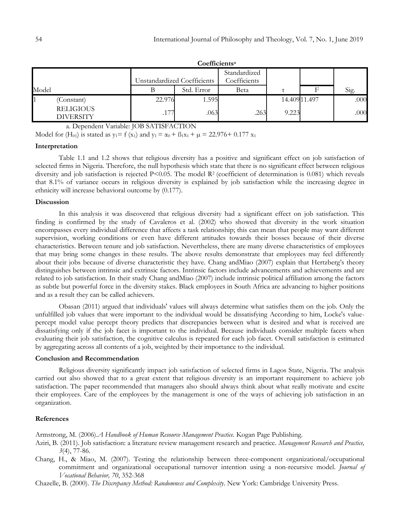|                                      |        | Coefficientsª               |                              |       |               |      |
|--------------------------------------|--------|-----------------------------|------------------------------|-------|---------------|------|
|                                      |        | Unstandardized Coefficients | Standardized<br>Coefficients |       |               |      |
|                                      |        |                             |                              |       |               |      |
| Model                                |        | Std. Error                  | <b>Beta</b>                  |       | F             | Sig. |
| (Constant)                           | 22.976 | 1.595                       |                              |       | 14.409 11.497 | .000 |
| <b>RELIGIOUS</b><br><b>DIVERSITY</b> | .177   | .063                        | .263                         | 9.223 |               | .000 |

**Coefficients<sup>a</sup>**

a. Dependent Variable: JOB SATISFACTION

Model for (H<sub>01</sub>) is stated as  $y_1 = f(x_1)$  and  $y_1 = \alpha_0 + \beta_1 x_1 + \mu = 22.976 + 0.177 x_1$ 

### **Interpretation**

Table 1.1 and 1.2 shows that religious diversity has a positive and significant effect on job satisfaction of selected firms in Nigeria. Therefore, the null hypothesis which state that there is no significant effect between religious diversity and job satisfaction is rejected  $P<0.05$ . The model  $R<sup>2</sup>$  (coefficient of determination is 0.081) which reveals that 8.1% of variance occurs in religious diversity is explained by job satisfaction while the increasing degree in ethnicity will increase behavioral outcome by (0.177).

### **Discussion**

In this analysis it was discovered that religious diversity had a significant effect on job satisfaction. This finding is confirmed by the study of Cavaleros et al. (2002) who showed that diversity in the work situation encompasses every individual difference that affects a task relationship; this can mean that people may want different supervision, working conditions or even have different attitudes towards their bosses because of their diverse characteristics. Between tenure and job satisfaction. Nevertheless, there are many diverse characteristics of employees that may bring some changes in these results. The above results demonstrate that employees may feel differently about their jobs because of diverse characteristic they have. Chang andMiao (2007) explain that Hertzberg's theory distinguishes between intrinsic and extrinsic factors. Intrinsic factors include advancements and achievements and are related to job satisfaction. In their study Chang andMiao (2007) include intrinsic political affiliation among the factors as subtle but powerful force in the diversity stakes. Black employees in South Africa are advancing to higher positions and as a result they can be called achievers.

Obasan (2011) argued that individuals' values will always determine what satisfies them on the job. Only the unfulfilled job values that were important to the individual would be dissatisfying According to him, Locke's valuepercept model value percept theory predicts that discrepancies between what is desired and what is received are dissatisfying only if the job facet is important to the individual. Because individuals consider multiple facets when evaluating their job satisfaction, the cognitive calculus is repeated for each job facet. Overall satisfaction is estimated by aggregating across all contents of a job, weighted by their importance to the individual.

## **Conclusion and Recommendation**

Religious diversity significantly impact job satisfaction of selected firms in Lagos State, Nigeria. The analysis carried out also showed that to a great extent that religious diversity is an important requirement to achieve job satisfaction. The paper recommended that managers also should always think about what really motivate and excite their employees. Care of the employees by the management is one of the ways of achieving job satisfaction in an organization.

### **References**

Armstrong, M. (2006).*A Handbook of Human Resource Management Practice.* Kogan Page Publishing.

- Aziri, B. (2011). Job satisfaction: a literature review management research and practice. *Management Research and Practice, 3*(4), 77-86.
- Chang, H., & Miao, M. (2007). Testing the relationship between three-component organizational/occupational commitment and organizational occupational turnover intention using a non-recursive model. *Journal of Vocational Behavior, 70*, 352-368
- Chazelle, B. (2000). *The Discrepancy Method: Randomness and Complexity*. New York: Cambridge University Press.